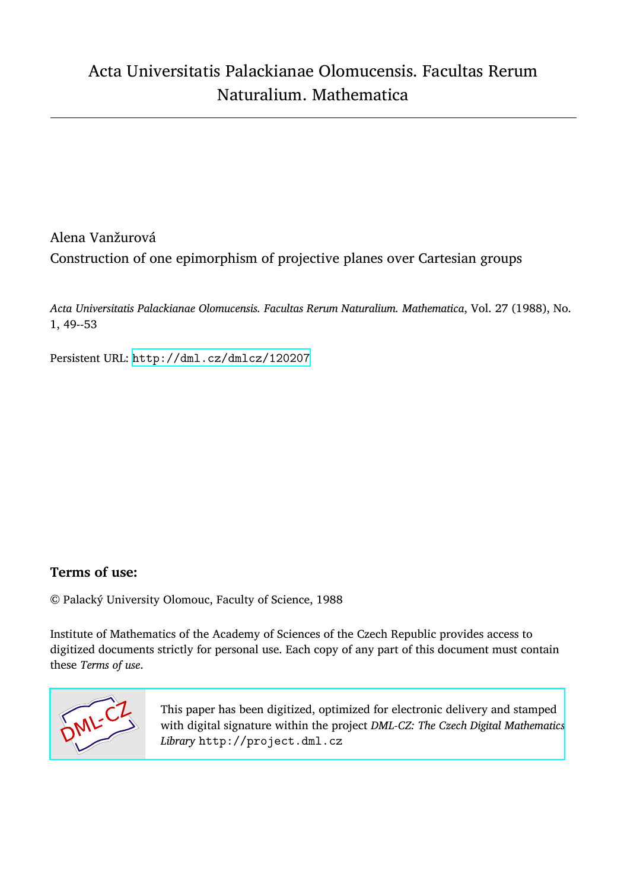# Alena Vanžurová Construction of one epimorphism of projective planes over Cartesian groups

*Acta Universitatis Palackianae Olomucensis. Facultas Rerum Naturalium. Mathematica*, Vol. 27 (1988), No. 1, 49--53

Persistent URL: <http://dml.cz/dmlcz/120207>

### **Terms of use:**

© Palacký University Olomouc, Faculty of Science, 1988

Institute of Mathematics of the Academy of Sciences of the Czech Republic provides access to digitized documents strictly for personal use. Each copy of any part of this document must contain these *Terms of use*.



[This paper has been digitized, optimized for electronic delivery and stamped](http://project.dml.cz) with digital signature within the project *DML-CZ: The Czech Digital Mathematics Library* http://project.dml.cz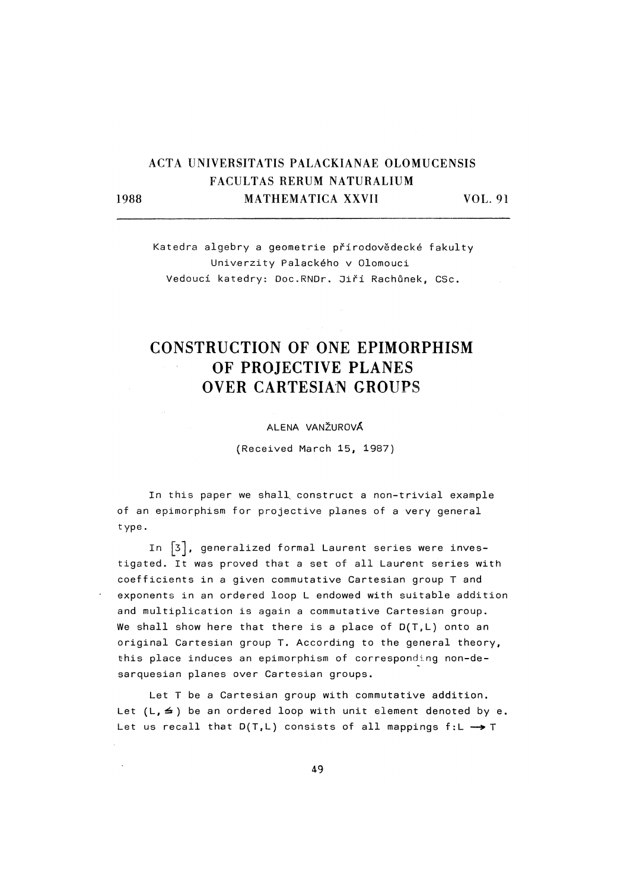## **ACTA UNIVERSITATIS PALACKIANAE OLOMUCENSIS FACU**L**TAS RERUM NA**T**URALIUM 1988 MATHEMA**T**ICA XXVII VO**L**. 91**

Katedra algebry a geometrie přírodovědecké fakulty Univerzity Palackého v Olomouci Vedoucí katedry: Doc.RNDr. Jiří Rachůnek, CSc.

## CONSTRUCTION OF ONE EPIMORPHISM OF PROJECTIVE PLANES OVER CARTESIAN GROUPS

#### ALENA VANŽUROVÁ

(Received March 15, 1987)

In this paper we shall construct a non-trivial example of an epimorphism for projective planes of a very general type.

In  $\lceil 3 \rceil$ , generalized formal Laurent series were investigated. It was proved that a set of all Laurent series with coefficients in a given commutative Cartesian group T and exponents in an ordered loop L endowed with suitable addition and multiplication is again a commutative Cartesian group. We shall show here that there is a place of D(T,L) onto an original Cartesian group T. According to the general theory, this place induces an epimorphism of corresponding non-desarquesian planes over Cartesian groups.

Let T be a Cartesian group with commutative addition. Let  $(L, \leq)$  be an ordered loop with unit element denoted by e. Let us recall that D(T,L) consists of all mappings f:L → T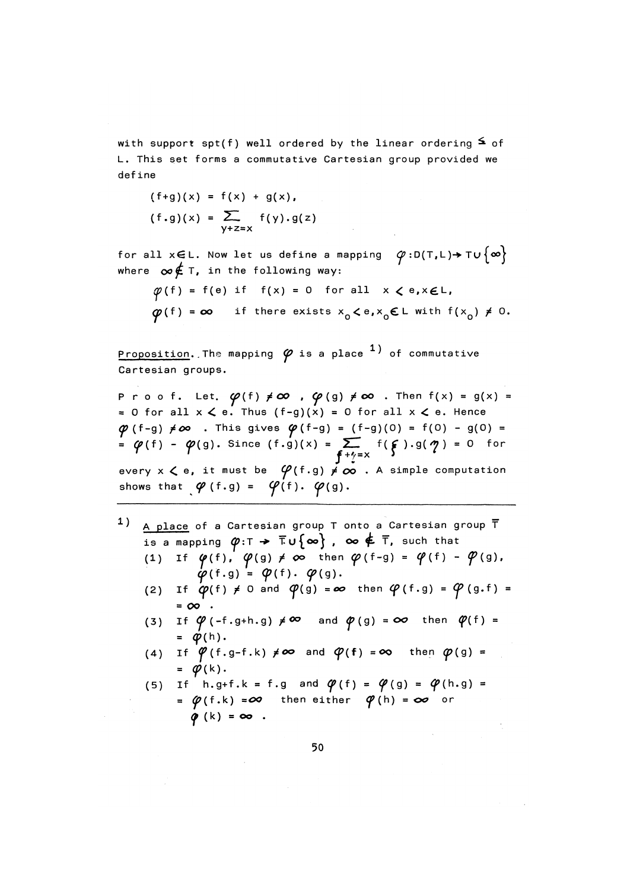with support spt(f) well ordered by the linear ordering  $\leq$  of L. This set forms a commutative Cartesian group provided we define

$$
(f+g)(x) = f(x) + g(x),
$$
  
 $(f.g)(x) = \sum_{y+z=x} f(y).g(z)$ 

for all x∈L. Now let us define a mapping  $\varphi: D(T,L) \rightarrow T \cup {\infty}$ where  $\infty \notin T$ , in the following way:

$$
\varphi(f) = f(e) \text{ if } f(x) = 0 \text{ for all } x < e, x \in L,
$$
\n
$$
\varphi(f) = \infty \text{ if there exists } x_0 < e, x_0 \in L \text{ with } f(x_0) \neq 0.
$$

Proposition. The mapping  $\varphi$  is a place  $^1)$  of commutative Cartesian groups.

Proof. Let.  $\varphi(f) \neq \infty$  ,  $\varphi(g) \neq \infty$  . Then  $f(x) = g(x) =$ = 0 for all  $x < e$ . Thus (f-g)(x) = 0 for all  $x < e$ . Hence  $\phi$  (f-g)  $\neq \infty$  . This gives  $\phi$  (f-g) = (f-g)(0) = f(0) - g(0) = =  $\varphi(f)$  -  $\varphi(g)$ . Since  $(f,g)(x)$  =  $\sum_{f^{-1} = x} f(f) \cdot g(f) = 0$  for every  $x \le e$ , it must be  $\varphi(f.g) \neq \infty$  . A simple computation shows that  $\varphi$  (f.g) =  $\varphi$ (f).  $\varphi$ (g).

- $1)$ A place of a Cartesian group  $T$  onto a Cartesian group  $\overline{T}$ is a mapping  $\varphi:\Gamma \to \overline{\Gamma} \cup \{\infty\}$ ,  $\infty \notin \overline{\Gamma}$ , such that
	- (1) If  $\varphi(f)$ ,  $\varphi(g) \neq \infty$  then  $\varphi(f-g) = \varphi(f) \varphi(g)$ ,  $\phi(f,g) = \phi(f) \cdot \phi(g)$ .
	- If  $\varphi(f) \neq 0$  and  $\varphi(g) = \infty$  then  $\varphi(f,g) = \varphi(g,f) =$  $(2)$  $= 00$ .
	- If  $\varphi$  (-f.g+h.g)  $\neq \infty$  and  $\varphi$  (g) =  $\infty$  then  $\varphi$ (f) =  $(3)$  $= \varphi(h).$
	- (4) If  $\varphi$  (f.g-f.k)  $\neq \infty$  and  $\varphi$ (f) =  $\infty$  then  $\varphi$ (g) = =  $\varphi(k)$ .
	- (5) If h.g+f.k = f.g and  $\varphi(f) = \varphi(g) = \varphi(h.g) =$ =  $\phi$ (f.k) =  $\infty$  then either  $\phi$ (h) =  $\infty$  or  $\phi$  (k) =  $\infty$ .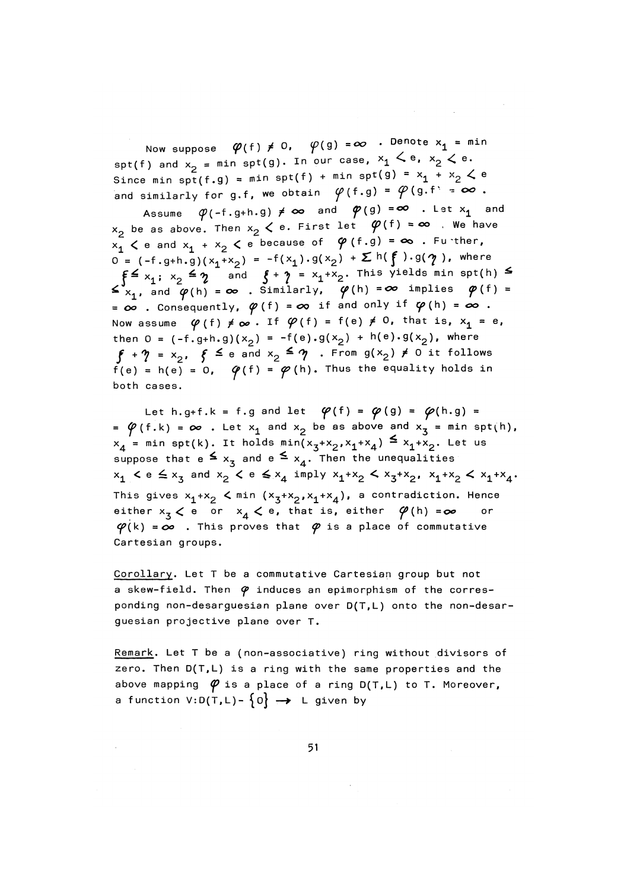Now suppose  $\varphi(f) \neq 0$ ,  $\varphi(g) = \infty$  . Denote  $x_1 = \min$ spt(f) and  $x_2$  = min spt(g). In our case,  $x_1 \le e$ ,  $x_2 \le e$ . Since min spt(f.g) = min spt(f) + min spt(g) =  $x_1 + x_2 \le e$ and similarly for g.f, we obtain  $\varphi(f,g) = \varphi(g,f) = \infty$ .

Assume  $\varphi$ (-f.g+h.g)  $\neq \infty$  and  $\varphi$ (g) =  $\infty$  . Let  $x_1$  and  $x_2$  be as above. Then  $x_2 < e$ . First let  $\varphi(f) = \infty$  . We have  $x_1$   $\checkmark$  e and  $x_1 + x_2$   $\checkmark$  e because of  $\varphi$  (f.g) =  $\infty$  . Further,  $0 = (-f.g+h.g)(x_1 + x_2) = -f(x_1).g(x_2) + \sum h(f).g(\gamma)$ , where  $\leq \sum_{x_1, \text{ and } \varphi(h) = \infty}^{\infty} \sum_{n=1}^{\infty} \frac{1}{n} \sum_{n=1}^{\infty} \frac{1}{n} \sum_{n=1}^{\infty} \frac{1}{n} \sum_{n=1}^{\infty} \frac{1}{n} \sum_{n=1}^{\infty} \frac{1}{n} \sum_{n=1}^{\infty} \frac{1}{n} \sum_{n=1}^{\infty} \frac{1}{n} \sum_{n=1}^{\infty} \frac{1}{n} \sum_{n=1}^{\infty} \frac{1}{n} \sum_{n=1}^{\infty} \frac{1}{n}$ =  $\infty$  . Consequently,  $\varphi(f)$  =  $\infty$  if and only if  $\varphi(h)$  =  $\infty$  . Now assume  $\varphi(f) \neq \infty$ . If  $\varphi(f) = f(e) \neq 0$ , that is,  $x_1 = e$ , then 0 =  $(-f. g+h. g)(x_2) = -f(e). g(x_2) + h(e). g(x_2)$ , where  $\oint + \eta = x_2$ ,  $\oint \leq e$  and  $x_2 \leq \eta$ . From  $g(x_2) \neq 0$  it follows  $f(e) = h(e) = 0$ ,  $\varphi(f) = \varphi(h)$ . Thus the equality holds in both cases.

Let h.g+f.k = f.g and let  $\varphi(f) = \varphi(g) = \varphi(h.g) =$ =  $\varphi$ (f.k) =  $\infty$  . Let  $x_1$  and  $x_2$  be as above and  $x_3$  = min spt(h),  $x_4$  = min spt(k). It holds min( $x_3+x_2$ ,  $x_1+x_4$ )  $\leq x_1+x_2$ . Let us suppose that  $e \leq x_3$  and  $e \leq x_4$ . Then the unequalities  $x_1$   $\leq e \leq x_2$  and  $x_2$   $\leq e \leq x_4$  imply  $x_1 + x_2 \leq x_3 + x_2$ ,  $x_1 + x_2 \leq x_1 + x_4$ . This gives  $x_1 + x_2$   $\lt$  min  $(x_3 + x_2, x_1 + x_4)$ , a contradiction. Hence either  $x_3 < e$  or  $x_4 < e$ , that is, either  $\varphi(h) = \infty$ or  $\varphi(k) = \infty$  . This proves that  $\varphi$  is a place of commutative Cartesian groups.

Corollary. Let T be a commutative Cartesian group but not a skew-field. Then  $\varphi$  induces an epimorphism of the corresponding non-desarguesian plane over D(T,L) onto the non-desarguesian projective plane over T.

Remark. Let T be a (non-associative) ring without divisors of zero. Then  $D(T, L)$  is a ring with the same properties and the above mapping  $\varphi$  is a place of a ring D(T,L) to T. Moreover, a function  $V:D(T,L)-\{0\} \rightarrow L$  given by

51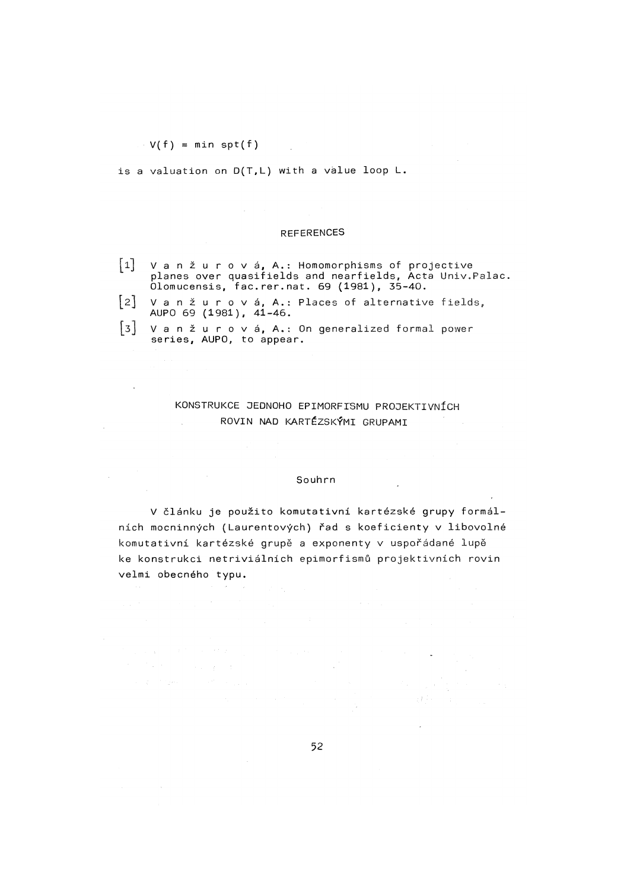$V(f) = min$  spt(f)

is a valuation on  $D(T,L)$  with a value loop  $L$ .

#### REFERENCES

| $\begin{bmatrix} 1 \end{bmatrix}$ V a n ž u r o v á, A : Homomorphisms of projective |  |
|--------------------------------------------------------------------------------------|--|
| planes over quasifields and nearfields, Acta Univ. Palac.                            |  |
| Olomucensis, fac.rer.nat. 69 (1981), 35-40.                                          |  |

|                        |  | $\lfloor 2 \rfloor$ V a n ž u r o v á, A.: Places of alternative fields, |  |
|------------------------|--|--------------------------------------------------------------------------|--|
| AUPO 69 (1981), 41-46. |  |                                                                          |  |

**U** / a n ž u r o v á, A.: On generalized formal power<br>Esting a AUPO – to annear series, AUPO, to appear.

### KONSTRUKCE JEDNOHO EPIMORFTSMU PROJEKTIVNÍCH ROVIN NAD KARTÉZSKÝMI GRUPAMI

#### Souhrn

V článku je použito komutativní kartézské grupy formálních mocninných (Laurentových) řad s koeficienty v libovolné komutativní kartézské grupě a exponenty v uspořádané lupě ke konstrukci netriviálních epimorfismů projektivních rovin velmi obecného typu.